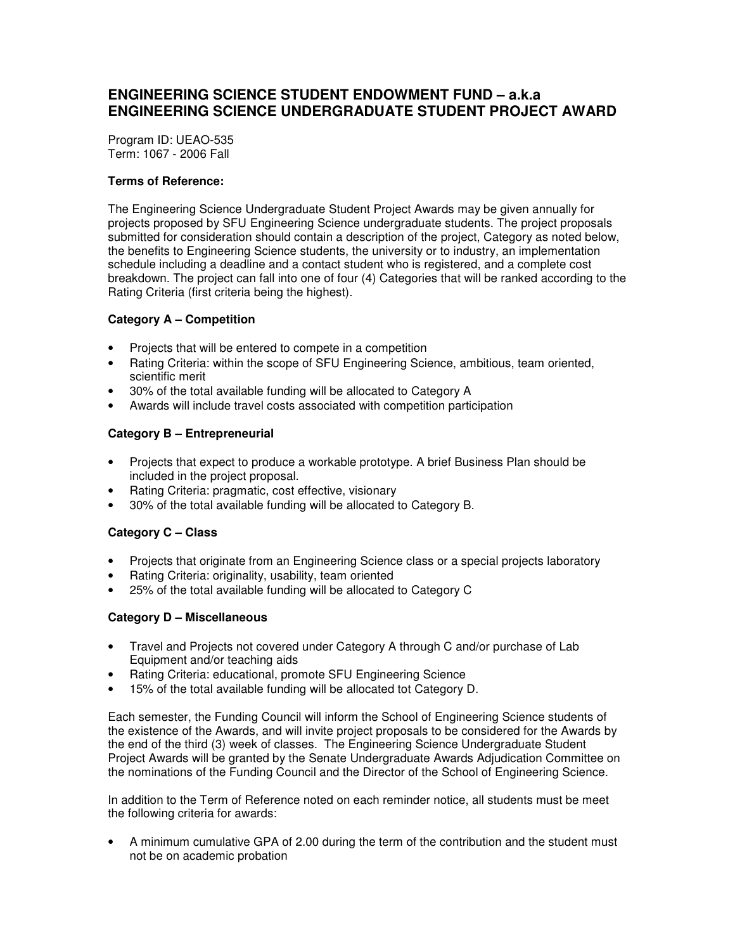# **ENGINEERING SCIENCE STUDENT ENDOWMENT FUND – a.k.a ENGINEERING SCIENCE UNDERGRADUATE STUDENT PROJECT AWARD**

Program ID: UEAO-535 Term: 1067 - 2006 Fall

### **Terms of Reference:**

The Engineering Science Undergraduate Student Project Awards may be given annually for projects proposed by SFU Engineering Science undergraduate students. The project proposals submitted for consideration should contain a description of the project, Category as noted below, the benefits to Engineering Science students, the university or to industry, an implementation schedule including a deadline and a contact student who is registered, and a complete cost breakdown. The project can fall into one of four (4) Categories that will be ranked according to the Rating Criteria (first criteria being the highest).

### **Category A – Competition**

- Projects that will be entered to compete in a competition
- Rating Criteria: within the scope of SFU Engineering Science, ambitious, team oriented, scientific merit
- 30% of the total available funding will be allocated to Category A
- Awards will include travel costs associated with competition participation

## **Category B – Entrepreneurial**

- Projects that expect to produce a workable prototype. A brief Business Plan should be included in the project proposal.
- Rating Criteria: pragmatic, cost effective, visionary
- 30% of the total available funding will be allocated to Category B.

## **Category C – Class**

- Projects that originate from an Engineering Science class or a special projects laboratory
- Rating Criteria: originality, usability, team oriented
- 25% of the total available funding will be allocated to Category C

#### **Category D – Miscellaneous**

- Travel and Projects not covered under Category A through C and/or purchase of Lab Equipment and/or teaching aids
- Rating Criteria: educational, promote SFU Engineering Science
- 15% of the total available funding will be allocated tot Category D.

Each semester, the Funding Council will inform the School of Engineering Science students of the existence of the Awards, and will invite project proposals to be considered for the Awards by the end of the third (3) week of classes. The Engineering Science Undergraduate Student Project Awards will be granted by the Senate Undergraduate Awards Adjudication Committee on the nominations of the Funding Council and the Director of the School of Engineering Science.

In addition to the Term of Reference noted on each reminder notice, all students must be meet the following criteria for awards:

• A minimum cumulative GPA of 2.00 during the term of the contribution and the student must not be on academic probation